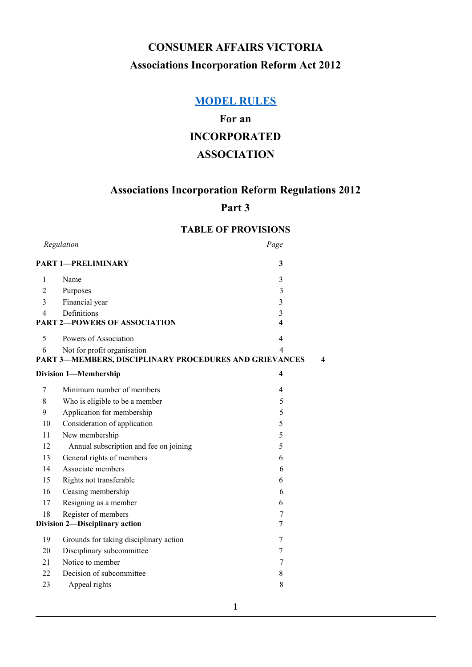# **CONSUMER AFFAIRS VICTORIA Associations Incorporation Reform Act 2012**

# **[MODEL](https://docs.google.com/document/d/18839lhHbdKlQTthVbQ0TCNtM58PSd72R7Hzu53ktQuE/edit#heading=h.s3rx9zfk6o9d) RULES**

# **For an INCORPORATED ASSOCIATION**

# **Associations Incorporation Reform Regulations 2012**

# **Part 3**

# **TABLE OF PROVISIONS**

| Regulation                               |                                                        | Page                    |   |  |
|------------------------------------------|--------------------------------------------------------|-------------------------|---|--|
| <b>PART 1-PRELIMINARY</b><br>3           |                                                        |                         |   |  |
| 1                                        | Name                                                   | 3                       |   |  |
| $\overline{c}$                           | Purposes                                               | 3                       |   |  |
| 3                                        | Financial year                                         | 3                       |   |  |
| 4                                        | Definitions                                            | 3                       |   |  |
| <b>PART 2-POWERS OF ASSOCIATION</b><br>4 |                                                        |                         |   |  |
| 5                                        | Powers of Association                                  | 4                       |   |  |
| 6                                        | Not for profit organisation                            | 4                       |   |  |
|                                          | PART 3-MEMBERS, DISCIPLINARY PROCEDURES AND GRIEVANCES |                         | 4 |  |
|                                          | <b>Division 1-Membership</b>                           | $\overline{\mathbf{4}}$ |   |  |
| 7                                        | Minimum number of members                              | 4                       |   |  |
| 8                                        | Who is eligible to be a member                         | 5                       |   |  |
| 9                                        | Application for membership                             | 5                       |   |  |
| 10                                       | Consideration of application                           | 5                       |   |  |
| 11                                       | New membership                                         | 5                       |   |  |
| 12                                       | Annual subscription and fee on joining                 | 5                       |   |  |
| 13                                       | General rights of members                              | 6                       |   |  |
| 14                                       | Associate members                                      | 6                       |   |  |
| 15                                       | Rights not transferable                                | 6                       |   |  |
| 16                                       | Ceasing membership                                     | 6                       |   |  |
| 17                                       | Resigning as a member                                  | 6                       |   |  |
| 18                                       | Register of members                                    | 7                       |   |  |
|                                          | Division 2-Disciplinary action                         | 7                       |   |  |
| 19                                       | Grounds for taking disciplinary action                 | 7                       |   |  |
| 20                                       | Disciplinary subcommittee                              | 7                       |   |  |
| 21                                       | Notice to member                                       | 7                       |   |  |
| 22                                       | Decision of subcommittee                               | 8                       |   |  |
| 23                                       | Appeal rights                                          | 8                       |   |  |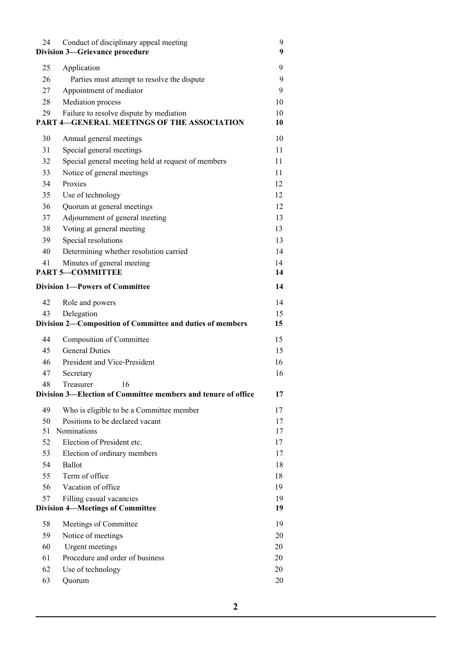| 24 | Conduct of disciplinary appeal meeting<br><b>Division 3-Grievance procedure</b>              | 9<br>9   |
|----|----------------------------------------------------------------------------------------------|----------|
| 25 | Application                                                                                  | 9        |
| 26 | Parties must attempt to resolve the dispute                                                  | 9        |
| 27 | Appointment of mediator                                                                      | 9        |
| 28 | Mediation process                                                                            | 10       |
| 29 | Failure to resolve dispute by mediation<br><b>PART 4-GENERAL MEETINGS OF THE ASSOCIATION</b> | 10<br>10 |
| 30 | Annual general meetings                                                                      | 10       |
| 31 | Special general meetings                                                                     | 11       |
| 32 | Special general meeting held at request of members                                           | 11       |
| 33 | Notice of general meetings                                                                   | 11       |
| 34 | Proxies                                                                                      | 12       |
| 35 | Use of technology                                                                            | 12       |
| 36 | Quorum at general meetings                                                                   | 12       |
| 37 | Adjournment of general meeting                                                               | 13       |
| 38 | Voting at general meeting                                                                    | 13       |
| 39 | Special resolutions                                                                          | 13       |
| 40 | Determining whether resolution carried                                                       | 14       |
| 41 | Minutes of general meeting                                                                   | 14       |
|    | <b>PART 5-COMMITTEE</b>                                                                      | 14       |
|    | <b>Division 1-Powers of Committee</b>                                                        | 14       |
| 42 | Role and powers                                                                              | 14       |
| 43 | Delegation                                                                                   | 15       |
|    | Division 2-Composition of Committee and duties of members                                    | 15       |
| 44 | Composition of Committee                                                                     | 15       |
| 45 | <b>General Duties</b>                                                                        | 15       |
| 46 | President and Vice-President                                                                 | 16       |
| 47 | Secretary                                                                                    | 16       |
| 48 | Treasurer<br>16                                                                              |          |
|    | Division 3—Election of Committee members and tenure of office                                | 17       |
| 49 | Who is eligible to be a Committee member                                                     | 17       |
| 50 | Positions to be declared vacant                                                              | 17       |
| 51 | <b>Nominations</b>                                                                           | 17       |
| 52 | Election of President etc.                                                                   | 17       |
| 53 | Election of ordinary members                                                                 | 17       |
| 54 | Ballot                                                                                       | 18       |
| 55 | Term of office                                                                               | 18       |
| 56 | Vacation of office                                                                           | 19       |
| 57 | Filling casual vacancies                                                                     | 19       |
|    | <b>Division 4-Meetings of Committee</b>                                                      | 19       |
| 58 | Meetings of Committee                                                                        | 19       |
| 59 | Notice of meetings                                                                           | 20       |
| 60 | Urgent meetings                                                                              | 20       |
| 61 | Procedure and order of business                                                              | 20       |
| 62 | Use of technology                                                                            | 20       |
| 63 | Quorum                                                                                       | 20       |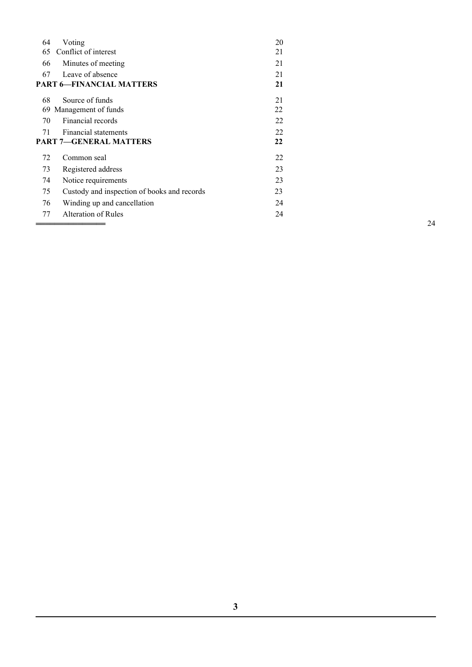| 64                              | Voting                                      | 20 |    |
|---------------------------------|---------------------------------------------|----|----|
| 65                              | Conflict of interest                        | 21 |    |
| 66                              | Minutes of meeting                          | 21 |    |
| 67                              | Leave of absence                            | 21 |    |
| <b>PART 6-FINANCIAL MATTERS</b> |                                             | 21 |    |
| 68                              | Source of funds                             | 21 |    |
| 69                              | Management of funds                         | 22 |    |
| 70                              | Financial records                           | 22 |    |
| 71                              | <b>Financial statements</b>                 | 22 |    |
| <b>PART 7-GENERAL MATTERS</b>   |                                             | 22 |    |
| 72                              | Common seal                                 | 22 |    |
| 73                              | Registered address                          | 23 |    |
| 74                              | Notice requirements                         | 23 |    |
| 75                              | Custody and inspection of books and records | 23 |    |
| 76                              | Winding up and cancellation                 | 24 |    |
| 77                              | Alteration of Rules                         | 24 |    |
|                                 |                                             |    | 24 |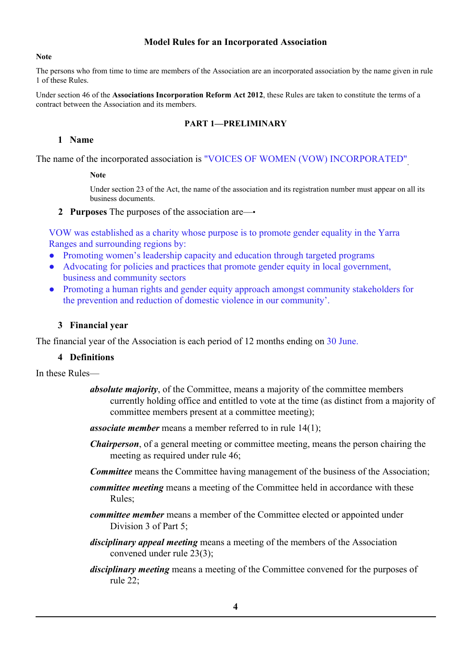# **Model Rules for an Incorporated Association**

#### **Note**

The persons who from time to time are members of the Association are an incorporated association by the name given in rule 1 of these Rules.

Under section 46 of the **Associations Incorporation Reform Act 2012**, these Rules are taken to constitute the terms of a contract between the Association and its members.

### **PART 1—PRELIMINARY**

# **1 Name**

The name of the incorporated association is "VOICES OF WOMEN (VOW) INCORPORATED" .

#### **Note**

Under section 23 of the Act, the name of the association and its registration number must appear on all its business documents.

#### **2 Purposes** The purposes of the association are—•

VOW was established as a charity whose purpose is to promote gender equality in the Yarra Ranges and surrounding regions by:

- Promoting women's leadership capacity and education through targeted programs
- Advocating for policies and practices that promote gender equity in local government, business and community sectors
- Promoting a human rights and gender equity approach amongst community stakeholders for the prevention and reduction of domestic violence in our community'.

# **3 Financial year**

The financial year of the Association is each period of 12 months ending on 30 June.

#### **4 Definitions**

In these Rules—

- *absolute majority*, of the Committee, means a majority of the committee members currently holding office and entitled to vote at the time (as distinct from a majority of committee members present at a committee meeting);
- *associate member* means a member referred to in rule 14(1);
- *Chairperson*, of a general meeting or committee meeting, means the person chairing the meeting as required under rule 46;
- *Committee* means the Committee having management of the business of the Association;
- *committee meeting* means a meeting of the Committee held in accordance with these Rules;
- *committee member* means a member of the Committee elected or appointed under Division 3 of Part 5;
- *disciplinary appeal meeting* means a meeting of the members of the Association convened under rule 23(3);
- *disciplinary meeting* means a meeting of the Committee convened for the purposes of rule 22;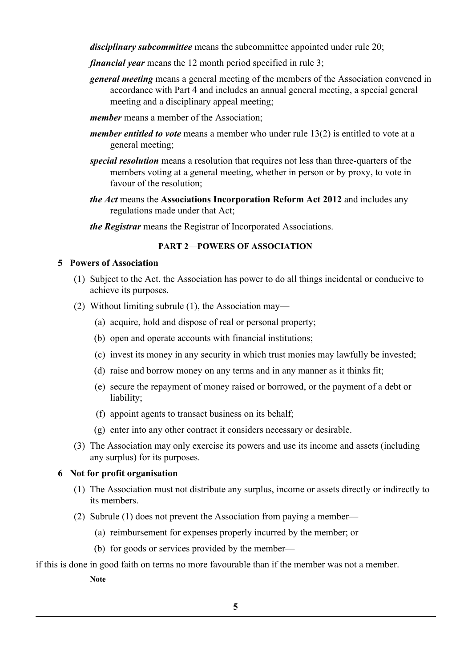*disciplinary subcommittee* means the subcommittee appointed under rule 20;

- *financial year* means the 12 month period specified in rule 3;
- *general meeting* means a general meeting of the members of the Association convened in accordance with Part 4 and includes an annual general meeting, a special general meeting and a disciplinary appeal meeting;
- *member* means a member of the Association;
- *member entitled to vote* means a member who under rule 13(2) is entitled to vote at a general meeting;
- *special resolution* means a resolution that requires not less than three-quarters of the members voting at a general meeting, whether in person or by proxy, to vote in favour of the resolution;
- *the Act* means the **Associations Incorporation Reform Act 2012** and includes any regulations made under that Act;

*the Registrar* means the Registrar of Incorporated Associations.

# **PART 2—POWERS OF ASSOCIATION**

# **5 Powers of Association**

- (1) Subject to the Act, the Association has power to do all things incidental or conducive to achieve its purposes.
- (2) Without limiting subrule (1), the Association may—
	- (a) acquire, hold and dispose of real or personal property;
	- (b) open and operate accounts with financial institutions;
	- (c) invest its money in any security in which trust monies may lawfully be invested;
	- (d) raise and borrow money on any terms and in any manner as it thinks fit;
	- (e) secure the repayment of money raised or borrowed, or the payment of a debt or liability;
	- (f) appoint agents to transact business on its behalf;
	- (g) enter into any other contract it considers necessary or desirable.
- (3) The Association may only exercise its powers and use its income and assets (including any surplus) for its purposes.

# **6 Not for profit organisation**

- (1) The Association must not distribute any surplus, income or assets directly or indirectly to its members.
- (2) Subrule (1) does not prevent the Association from paying a member—
	- (a) reimbursement for expenses properly incurred by the member; or
	- (b) for goods or services provided by the member—

if this is done in good faith on terms no more favourable than if the member was not a member.

**Note**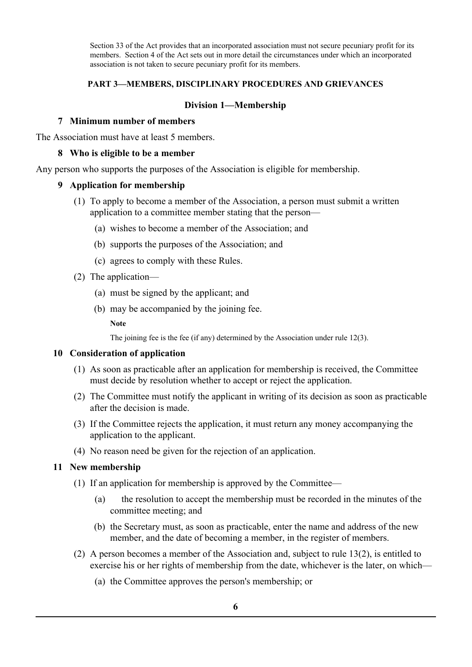Section 33 of the Act provides that an incorporated association must not secure pecuniary profit for its members. Section 4 of the Act sets out in more detail the circumstances under which an incorporated association is not taken to secure pecuniary profit for its members.

### **PART 3—MEMBERS, DISCIPLINARY PROCEDURES AND GRIEVANCES**

### **Division 1—Membership**

#### **7 Minimum number of members**

The Association must have at least 5 members.

#### **8 Who is eligible to be a member**

Any person who supports the purposes of the Association is eligible for membership.

#### **9 Application for membership**

- (1) To apply to become a member of the Association, a person must submit a written application to a committee member stating that the person—
	- (a) wishes to become a member of the Association; and
	- (b) supports the purposes of the Association; and
	- (c) agrees to comply with these Rules.
- (2) The application—
	- (a) must be signed by the applicant; and
	- (b) may be accompanied by the joining fee.

**Note**

The joining fee is the fee (if any) determined by the Association under rule 12(3).

#### **10 Consideration of application**

- (1) As soon as practicable after an application for membership is received, the Committee must decide by resolution whether to accept or reject the application.
- (2) The Committee must notify the applicant in writing of its decision as soon as practicable after the decision is made.
- (3) If the Committee rejects the application, it must return any money accompanying the application to the applicant.
- (4) No reason need be given for the rejection of an application.

#### **11 New membership**

- (1) If an application for membership is approved by the Committee—
	- (a) the resolution to accept the membership must be recorded in the minutes of the committee meeting; and
	- (b) the Secretary must, as soon as practicable, enter the name and address of the new member, and the date of becoming a member, in the register of members.
- (2) A person becomes a member of the Association and, subject to rule 13(2), is entitled to exercise his or her rights of membership from the date, whichever is the later, on which—
	- (a) the Committee approves the person's membership; or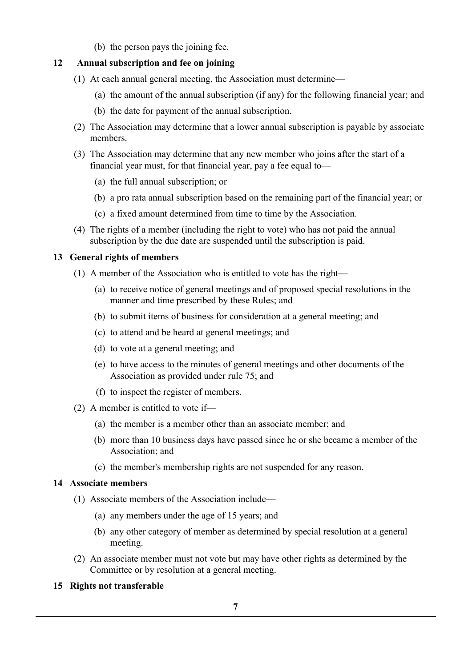(b) the person pays the joining fee.

# <span id="page-6-0"></span> **12 Annual subscription and fee on joining**

- (1) At each annual general meeting, the Association must determine—
	- (a) the amount of the annual subscription (if any) for the following financial year; and
	- (b) the date for payment of the annual subscription.
- (2) The Association may determine that a lower annual subscription is payable by associate members.
- (3) The Association may determine that any new member who joins after the start of a financial year must, for that financial year, pay a fee equal to—
	- (a) the full annual subscription; or
	- (b) a pro rata annual subscription based on the remaining part of the financial year; or
	- (c) a fixed amount determined from time to time by the Association.
- (4) The rights of a member (including the right to vote) who has not paid the annual subscription by the due date are suspended until the subscription is paid.

# **13 General rights of members**

- (1) A member of the Association who is entitled to vote has the right—
	- (a) to receive notice of general meetings and of proposed special resolutions in the manner and time prescribed by these Rules; and
	- (b) to submit items of business for consideration at a general meeting; and
	- (c) to attend and be heard at general meetings; and
	- (d) to vote at a general meeting; and
	- (e) to have access to the minutes of general meetings and other documents of the Association as provided under rule 75; and
	- (f) to inspect the register of members.
- (2) A member is entitled to vote if—
	- (a) the member is a member other than an associate member; and
	- (b) more than 10 business days have passed since he or she became a member of the Association; and
	- (c) the member's membership rights are not suspended for any reason.

# **14 Associate members**

- (1) Associate members of the Association include—
	- (a) any members under the age of 15 years; and
	- (b) any other category of member as determined by special resolution at a general meeting.
- (2) An associate member must not vote but may have other rights as determined by the Committee or by resolution at a general meeting.

# **15 Rights not transferable**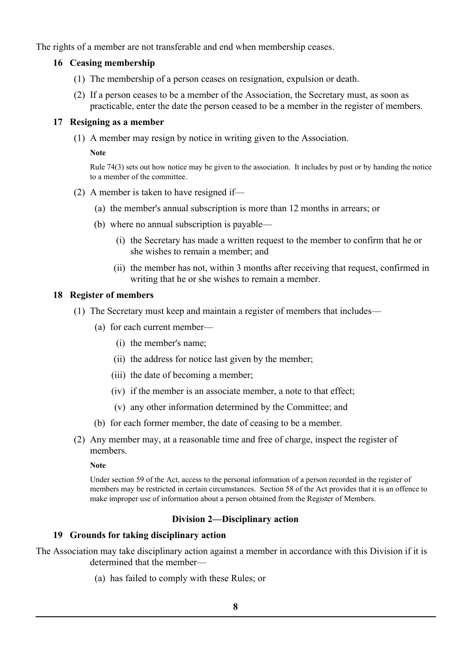<span id="page-7-0"></span>The rights of a member are not transferable and end when membership ceases.

# **16 Ceasing membership**

- (1) The membership of a person ceases on resignation, expulsion or death.
- (2) If a person ceases to be a member of the Association, the Secretary must, as soon as practicable, enter the date the person ceased to be a member in the register of members.

### **17 Resigning as a member**

(1) A member may resign by notice in writing given to the Association.

#### **Note**

Rule 74(3) sets out how notice may be given to the association. It includes by post or by handing the notice to a member of the committee.

- (2) A member is taken to have resigned if—
	- (a) the member's annual subscription is more than 12 months in arrears; or
	- (b) where no annual subscription is payable—
		- (i) the Secretary has made a written request to the member to confirm that he or she wishes to remain a member; and
		- (ii) the member has not, within 3 months after receiving that request, confirmed in writing that he or she wishes to remain a member.

# **18 Register of members**

- (1) The Secretary must keep and maintain a register of members that includes—
	- (a) for each current member—
		- (i) the member's name;
		- (ii) the address for notice last given by the member;
		- (iii) the date of becoming a member;
		- (iv) if the member is an associate member, a note to that effect;
		- (v) any other information determined by the Committee; and
	- (b) for each former member, the date of ceasing to be a member.
- (2) Any member may, at a reasonable time and free of charge, inspect the register of members.

#### **Note**

Under section 59 of the Act, access to the personal information of a person recorded in the register of members may be restricted in certain circumstances. Section 58 of the Act provides that it is an offence to make improper use of information about a person obtained from the Register of Members.

# **Division 2—Disciplinary action**

# **19 Grounds for taking disciplinary action**

The Association may take disciplinary action against a member in accordance with this Division if it is determined that the member—

(a) has failed to comply with these Rules; or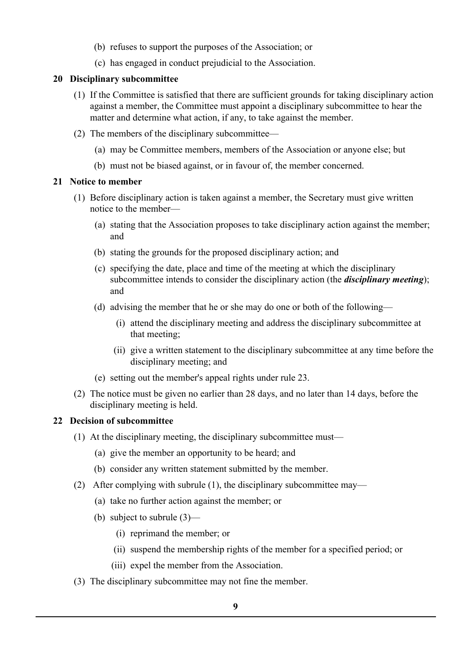- (b) refuses to support the purposes of the Association; or
- (c) has engaged in conduct prejudicial to the Association.

# **20 Disciplinary subcommittee**

- (1) If the Committee is satisfied that there are sufficient grounds for taking disciplinary action against a member, the Committee must appoint a disciplinary subcommittee to hear the matter and determine what action, if any, to take against the member.
- (2) The members of the disciplinary subcommittee—
	- (a) may be Committee members, members of the Association or anyone else; but
	- (b) must not be biased against, or in favour of, the member concerned.

# **21 Notice to member**

- (1) Before disciplinary action is taken against a member, the Secretary must give written notice to the member—
	- (a) stating that the Association proposes to take disciplinary action against the member; and
	- (b) stating the grounds for the proposed disciplinary action; and
	- (c) specifying the date, place and time of the meeting at which the disciplinary subcommittee intends to consider the disciplinary action (the *disciplinary meeting*); and
	- (d) advising the member that he or she may do one or both of the following—
		- (i) attend the disciplinary meeting and address the disciplinary subcommittee at that meeting;
		- (ii) give a written statement to the disciplinary subcommittee at any time before the disciplinary meeting; and
	- (e) setting out the member's appeal rights under rule 23.
- (2) The notice must be given no earlier than 28 days, and no later than 14 days, before the disciplinary meeting is held.

# **22 Decision of subcommittee**

- (1) At the disciplinary meeting, the disciplinary subcommittee must—
	- (a) give the member an opportunity to be heard; and
	- (b) consider any written statement submitted by the member.
- (2) After complying with subrule (1), the disciplinary subcommittee may—
	- (a) take no further action against the member; or
	- (b) subject to subrule (3)—
		- (i) reprimand the member; or
		- (ii) suspend the membership rights of the member for a specified period; or
		- (iii) expel the member from the Association.
- (3) The disciplinary subcommittee may not fine the member.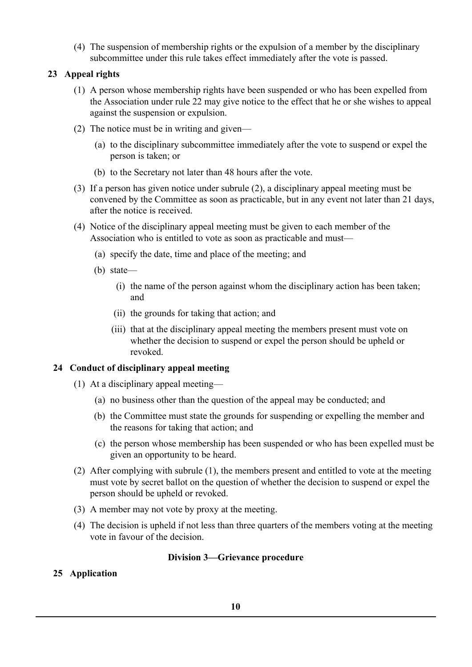(4) The suspension of membership rights or the expulsion of a member by the disciplinary subcommittee under this rule takes effect immediately after the vote is passed.

# <span id="page-9-0"></span> **23 Appeal rights**

- (1) A person whose membership rights have been suspended or who has been expelled from the Association under rule 22 may give notice to the effect that he or she wishes to appeal against the suspension or expulsion.
- (2) The notice must be in writing and given—
	- (a) to the disciplinary subcommittee immediately after the vote to suspend or expel the person is taken; or
	- (b) to the Secretary not later than 48 hours after the vote.
- (3) If a person has given notice under subrule (2), a disciplinary appeal meeting must be convened by the Committee as soon as practicable, but in any event not later than 21 days, after the notice is received.
- (4) Notice of the disciplinary appeal meeting must be given to each member of the Association who is entitled to vote as soon as practicable and must—
	- (a) specify the date, time and place of the meeting; and
	- (b) state—
		- (i) the name of the person against whom the disciplinary action has been taken; and
		- (ii) the grounds for taking that action; and
		- (iii) that at the disciplinary appeal meeting the members present must vote on whether the decision to suspend or expel the person should be upheld or revoked.

# **24 Conduct of disciplinary appeal meeting**

- (1) At a disciplinary appeal meeting—
	- (a) no business other than the question of the appeal may be conducted; and
	- (b) the Committee must state the grounds for suspending or expelling the member and the reasons for taking that action; and
	- (c) the person whose membership has been suspended or who has been expelled must be given an opportunity to be heard.
- (2) After complying with subrule (1), the members present and entitled to vote at the meeting must vote by secret ballot on the question of whether the decision to suspend or expel the person should be upheld or revoked.
- (3) A member may not vote by proxy at the meeting.
- (4) The decision is upheld if not less than three quarters of the members voting at the meeting vote in favour of the decision.

# **Division 3—Grievance procedure**

# **25 Application**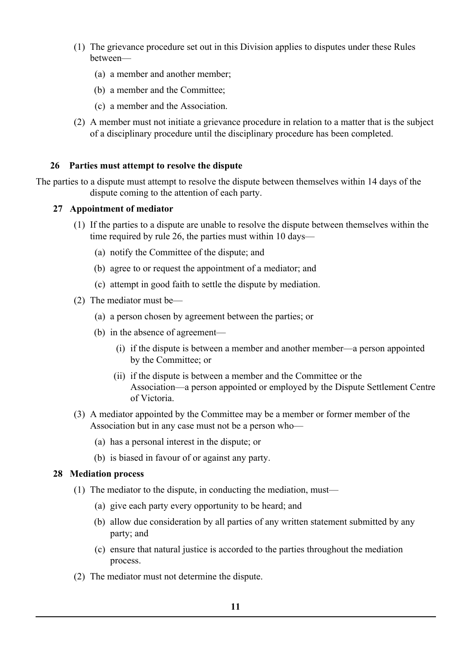- (1) The grievance procedure set out in this Division applies to disputes under these Rules between—
	- (a) a member and another member;
	- (b) a member and the Committee;
	- (c) a member and the Association.
- (2) A member must not initiate a grievance procedure in relation to a matter that is the subject of a disciplinary procedure until the disciplinary procedure has been completed.

# <span id="page-10-0"></span> **26 Parties must attempt to resolve the dispute**

The parties to a dispute must attempt to resolve the dispute between themselves within 14 days of the dispute coming to the attention of each party.

#### **27 Appointment of mediator**

- (1) If the parties to a dispute are unable to resolve the dispute between themselves within the time required by rule 26, the parties must within 10 days—
	- (a) notify the Committee of the dispute; and
	- (b) agree to or request the appointment of a mediator; and
	- (c) attempt in good faith to settle the dispute by mediation.
- (2) The mediator must be—
	- (a) a person chosen by agreement between the parties; or
	- (b) in the absence of agreement—
		- (i) if the dispute is between a member and another member—a person appointed by the Committee; or
		- (ii) if the dispute is between a member and the Committee or the Association—a person appointed or employed by the Dispute Settlement Centre of Victoria.
- (3) A mediator appointed by the Committee may be a member or former member of the Association but in any case must not be a person who—
	- (a) has a personal interest in the dispute; or
	- (b) is biased in favour of or against any party.

#### **28 Mediation process**

- (1) The mediator to the dispute, in conducting the mediation, must—
	- (a) give each party every opportunity to be heard; and
	- (b) allow due consideration by all parties of any written statement submitted by any party; and
	- (c) ensure that natural justice is accorded to the parties throughout the mediation process.
- (2) The mediator must not determine the dispute.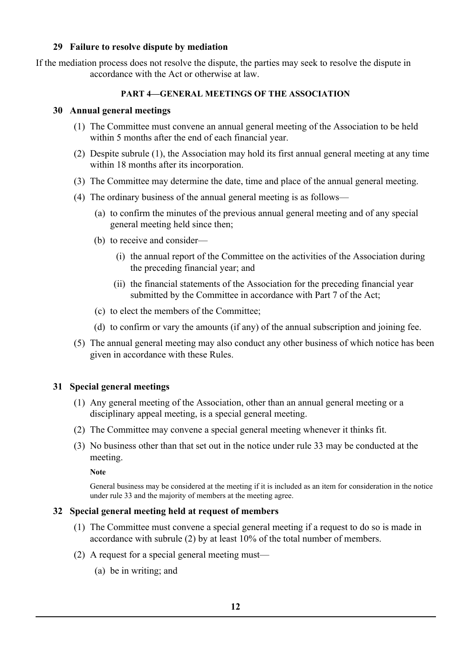# **29 Failure to resolve dispute by mediation**

If the mediation process does not resolve the dispute, the parties may seek to resolve the dispute in accordance with the Act or otherwise at law.

### **PART 4—GENERAL MEETINGS OF THE ASSOCIATION**

# **30 Annual general meetings**

- (1) The Committee must convene an annual general meeting of the Association to be held within 5 months after the end of each financial year.
- (2) Despite subrule (1), the Association may hold its first annual general meeting at any time within 18 months after its incorporation.
- (3) The Committee may determine the date, time and place of the annual general meeting.
- (4) The ordinary business of the annual general meeting is as follows—
	- (a) to confirm the minutes of the previous annual general meeting and of any special general meeting held since then;
	- (b) to receive and consider—
		- (i) the annual report of the Committee on the activities of the Association during the preceding financial year; and
		- (ii) the financial statements of the Association for the preceding financial year submitted by the Committee in accordance with Part 7 of the Act;
	- (c) to elect the members of the Committee;
	- (d) to confirm or vary the amounts (if any) of the annual subscription and joining fee.
- (5) The annual general meeting may also conduct any other business of which notice has been given in accordance with these Rules.

# <span id="page-11-0"></span>**31 Special general meetings**

- (1) Any general meeting of the Association, other than an annual general meeting or a disciplinary appeal meeting, is a special general meeting.
- (2) The Committee may convene a special general meeting whenever it thinks fit.
- (3) No business other than that set out in the notice under rule 33 may be conducted at the meeting.

**Note**

General business may be considered at the meeting if it is included as an item for consideration in the notice under rule 33 and the majority of members at the meeting agree.

#### **32 Special general meeting held at request of members**

- (1) The Committee must convene a special general meeting if a request to do so is made in accordance with subrule (2) by at least 10% of the total number of members.
- (2) A request for a special general meeting must—
	- (a) be in writing; and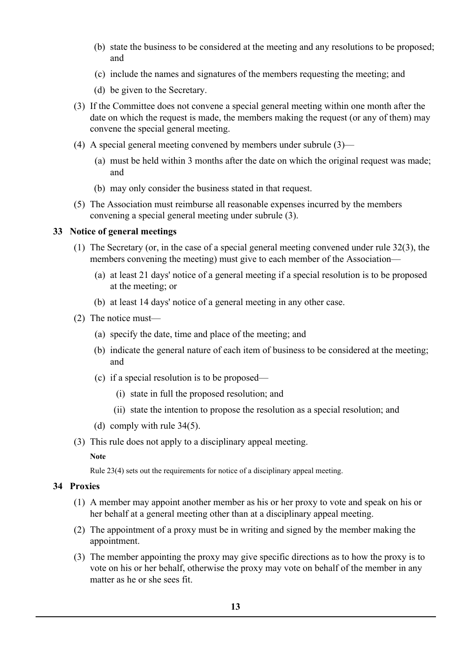- (b) state the business to be considered at the meeting and any resolutions to be proposed; and
- (c) include the names and signatures of the members requesting the meeting; and
- (d) be given to the Secretary.
- (3) If the Committee does not convene a special general meeting within one month after the date on which the request is made, the members making the request (or any of them) may convene the special general meeting.
- (4) A special general meeting convened by members under subrule (3)—
	- (a) must be held within 3 months after the date on which the original request was made; and
	- (b) may only consider the business stated in that request.
- (5) The Association must reimburse all reasonable expenses incurred by the members convening a special general meeting under subrule (3).

# **33 Notice of general meetings**

- (1) The Secretary (or, in the case of a special general meeting convened under rule 32(3), the members convening the meeting) must give to each member of the Association—
	- (a) at least 21 days' notice of a general meeting if a special resolution is to be proposed at the meeting; or
	- (b) at least 14 days' notice of a general meeting in any other case.
- (2) The notice must—
	- (a) specify the date, time and place of the meeting; and
	- (b) indicate the general nature of each item of business to be considered at the meeting; and
	- (c) if a special resolution is to be proposed—
		- (i) state in full the proposed resolution; and
		- (ii) state the intention to propose the resolution as a special resolution; and
	- (d) comply with rule 34(5).
- (3) This rule does not apply to a disciplinary appeal meeting.

**Note**

Rule 23(4) sets out the requirements for notice of a disciplinary appeal meeting.

# **34 Proxies**

- (1) A member may appoint another member as his or her proxy to vote and speak on his or her behalf at a general meeting other than at a disciplinary appeal meeting.
- (2) The appointment of a proxy must be in writing and signed by the member making the appointment.
- (3) The member appointing the proxy may give specific directions as to how the proxy is to vote on his or her behalf, otherwise the proxy may vote on behalf of the member in any matter as he or she sees fit.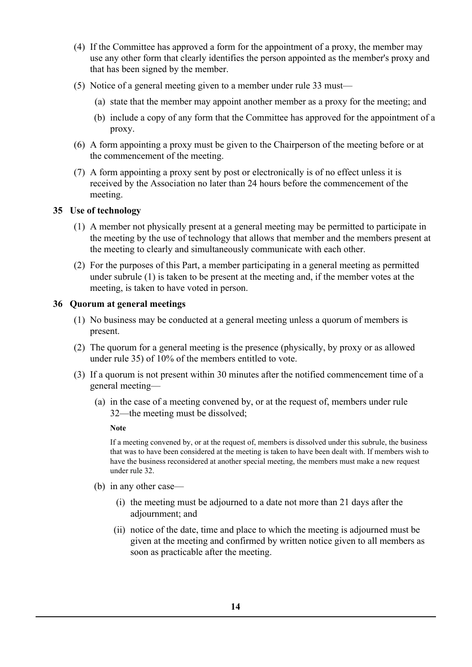- (4) If the Committee has approved a form for the appointment of a proxy, the member may use any other form that clearly identifies the person appointed as the member's proxy and that has been signed by the member.
- (5) Notice of a general meeting given to a member under rule 33 must—
	- (a) state that the member may appoint another member as a proxy for the meeting; and
	- (b) include a copy of any form that the Committee has approved for the appointment of a proxy.
- (6) A form appointing a proxy must be given to the Chairperson of the meeting before or at the commencement of the meeting.
- (7) A form appointing a proxy sent by post or electronically is of no effect unless it is received by the Association no later than 24 hours before the commencement of the meeting.

# **35 Use of technology**

- (1) A member not physically present at a general meeting may be permitted to participate in the meeting by the use of technology that allows that member and the members present at the meeting to clearly and simultaneously communicate with each other.
- (2) For the purposes of this Part, a member participating in a general meeting as permitted under subrule (1) is taken to be present at the meeting and, if the member votes at the meeting, is taken to have voted in person.

# **36 Quorum at general meetings**

- (1) No business may be conducted at a general meeting unless a quorum of members is present.
- (2) The quorum for a general meeting is the presence (physically, by proxy or as allowed under rule 35) of 10% of the members entitled to vote.
- (3) If a quorum is not present within 30 minutes after the notified commencement time of a general meeting—
	- (a) in the case of a meeting convened by, or at the request of, members under rule 32—the meeting must be dissolved;

**Note**

If a meeting convened by, or at the request of, members is dissolved under this subrule, the business that was to have been considered at the meeting is taken to have been dealt with. If members wish to have the business reconsidered at another special meeting, the members must make a new request under rule 32.

- (b) in any other case—
	- (i) the meeting must be adjourned to a date not more than 21 days after the adjournment; and
	- (ii) notice of the date, time and place to which the meeting is adjourned must be given at the meeting and confirmed by written notice given to all members as soon as practicable after the meeting.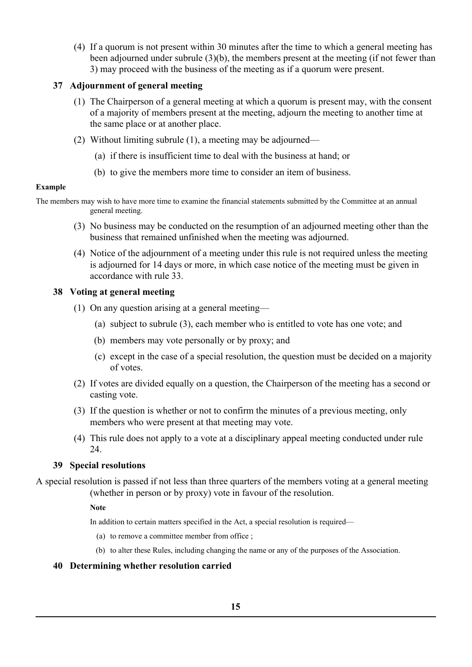(4) If a quorum is not present within 30 minutes after the time to which a general meeting has been adjourned under subrule (3)(b), the members present at the meeting (if not fewer than 3) may proceed with the business of the meeting as if a quorum were present.

# **37 Adjournment of general meeting**

- (1) The Chairperson of a general meeting at which a quorum is present may, with the consent of a majority of members present at the meeting, adjourn the meeting to another time at the same place or at another place.
- (2) Without limiting subrule (1), a meeting may be adjourned—
	- (a) if there is insufficient time to deal with the business at hand; or
	- (b) to give the members more time to consider an item of business.

#### **Example**

The members may wish to have more time to examine the financial statements submitted by the Committee at an annual general meeting.

- (3) No business may be conducted on the resumption of an adjourned meeting other than the business that remained unfinished when the meeting was adjourned.
- (4) Notice of the adjournment of a meeting under this rule is not required unless the meeting is adjourned for 14 days or more, in which case notice of the meeting must be given in accordance with rule 33.

# **38 Voting at general meeting**

- (1) On any question arising at a general meeting—
	- (a) subject to subrule (3), each member who is entitled to vote has one vote; and
	- (b) members may vote personally or by proxy; and
	- (c) except in the case of a special resolution, the question must be decided on a majority of votes.
- (2) If votes are divided equally on a question, the Chairperson of the meeting has a second or casting vote.
- (3) If the question is whether or not to confirm the minutes of a previous meeting, only members who were present at that meeting may vote.
- (4) This rule does not apply to a vote at a disciplinary appeal meeting conducted under rule 24.

#### **39 Special resolutions**

A special resolution is passed if not less than three quarters of the members voting at a general meeting (whether in person or by proxy) vote in favour of the resolution.

#### **Note**

In addition to certain matters specified in the Act, a special resolution is required—

- (a) to remove a committee member from office ;
- (b) to alter these Rules, including changing the name or any of the purposes of the Association.

#### **40 Determining whether resolution carried**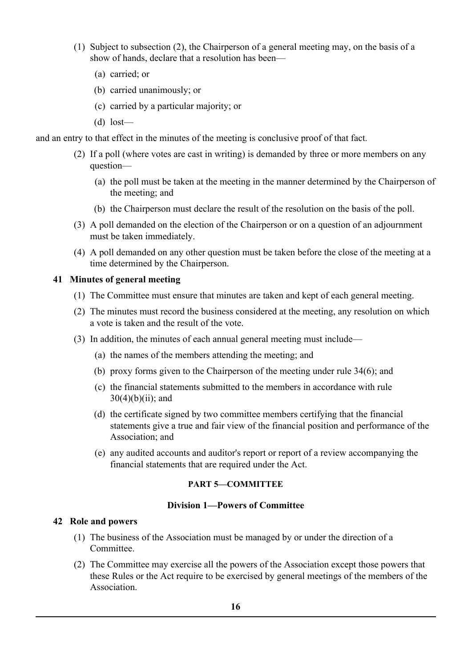- (1) Subject to subsection (2), the Chairperson of a general meeting may, on the basis of a show of hands, declare that a resolution has been—
	- (a) carried; or
	- (b) carried unanimously; or
	- (c) carried by a particular majority; or
	- (d) lost—

and an entry to that effect in the minutes of the meeting is conclusive proof of that fact.

- (2) If a poll (where votes are cast in writing) is demanded by three or more members on any question—
	- (a) the poll must be taken at the meeting in the manner determined by the Chairperson of the meeting; and
	- (b) the Chairperson must declare the result of the resolution on the basis of the poll.
- (3) A poll demanded on the election of the Chairperson or on a question of an adjournment must be taken immediately.
- (4) A poll demanded on any other question must be taken before the close of the meeting at a time determined by the Chairperson.

# **41 Minutes of general meeting**

- (1) The Committee must ensure that minutes are taken and kept of each general meeting.
- (2) The minutes must record the business considered at the meeting, any resolution on which a vote is taken and the result of the vote.
- (3) In addition, the minutes of each annual general meeting must include—
	- (a) the names of the members attending the meeting; and
	- (b) proxy forms given to the Chairperson of the meeting under rule 34(6); and
	- (c) the financial statements submitted to the members in accordance with rule  $30(4)(b)(ii)$ ; and
	- (d) the certificate signed by two committee members certifying that the financial statements give a true and fair view of the financial position and performance of the Association; and
	- (e) any audited accounts and auditor's report or report of a review accompanying the financial statements that are required under the Act.

#### **PART 5—COMMITTEE**

#### **Division 1—Powers of Committee**

#### **42 Role and powers**

- (1) The business of the Association must be managed by or under the direction of a Committee.
- (2) The Committee may exercise all the powers of the Association except those powers that these Rules or the Act require to be exercised by general meetings of the members of the **Association**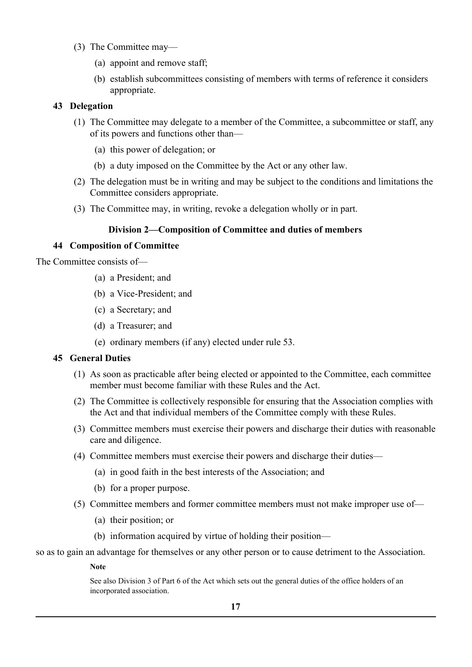- (3) The Committee may—
	- (a) appoint and remove staff;
	- (b) establish subcommittees consisting of members with terms of reference it considers appropriate.

# **43 Delegation**

- (1) The Committee may delegate to a member of the Committee, a subcommittee or staff, any of its powers and functions other than—
	- (a) this power of delegation; or
	- (b) a duty imposed on the Committee by the Act or any other law.
- (2) The delegation must be in writing and may be subject to the conditions and limitations the Committee considers appropriate.
- (3) The Committee may, in writing, revoke a delegation wholly or in part.

# **Division 2—Composition of Committee and duties of members**

# **44 Composition of Committee**

The Committee consists of—

- (a) a President; and
- (b) a Vice-President; and
- (c) a Secretary; and
- (d) a Treasurer; and
- (e) ordinary members (if any) elected under rule 53.

#### **45 General Duties**

- (1) As soon as practicable after being elected or appointed to the Committee, each committee member must become familiar with these Rules and the Act.
- (2) The Committee is collectively responsible for ensuring that the Association complies with the Act and that individual members of the Committee comply with these Rules.
- (3) Committee members must exercise their powers and discharge their duties with reasonable care and diligence.
- (4) Committee members must exercise their powers and discharge their duties—
	- (a) in good faith in the best interests of the Association; and
	- (b) for a proper purpose.
- (5) Committee members and former committee members must not make improper use of—
	- (a) their position; or
	- (b) information acquired by virtue of holding their position—

so as to gain an advantage for themselves or any other person or to cause detriment to the Association.

#### **Note**

See also Division 3 of Part 6 of the Act which sets out the general duties of the office holders of an incorporated association.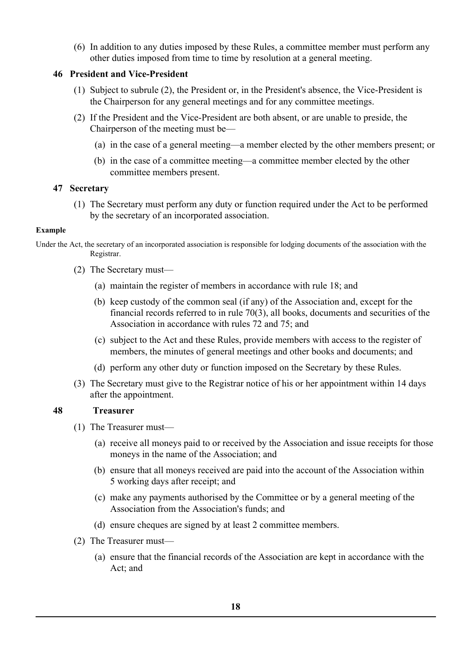(6) In addition to any duties imposed by these Rules, a committee member must perform any other duties imposed from time to time by resolution at a general meeting.

# **46 President and Vice-President**

- (1) Subject to subrule (2), the President or, in the President's absence, the Vice-President is the Chairperson for any general meetings and for any committee meetings.
- (2) If the President and the Vice-President are both absent, or are unable to preside, the Chairperson of the meeting must be—
	- (a) in the case of a general meeting—a member elected by the other members present; or
	- (b) in the case of a committee meeting—a committee member elected by the other committee members present.

# **47 Secretary**

(1) The Secretary must perform any duty or function required under the Act to be performed by the secretary of an incorporated association.

# **Example**

Under the Act, the secretary of an incorporated association is responsible for lodging documents of the association with the Registrar.

- (2) The Secretary must—
	- (a) maintain the register of members in accordance with rule 18; and
	- (b) keep custody of the common seal (if any) of the Association and, except for the financial records referred to in rule 70(3), all books, documents and securities of the Association in accordance with rules 72 and 75; and
	- (c) subject to the Act and these Rules, provide members with access to the register of members, the minutes of general meetings and other books and documents; and
	- (d) perform any other duty or function imposed on the Secretary by these Rules.
- (3) The Secretary must give to the Registrar notice of his or her appointment within 14 days after the appointment.

# <span id="page-17-0"></span> **48 Treasurer**

- (1) The Treasurer must—
	- (a) receive all moneys paid to or received by the Association and issue receipts for those moneys in the name of the Association; and
	- (b) ensure that all moneys received are paid into the account of the Association within 5 working days after receipt; and
	- (c) make any payments authorised by the Committee or by a general meeting of the Association from the Association's funds; and
	- (d) ensure cheques are signed by at least 2 committee members.
- (2) The Treasurer must—
	- (a) ensure that the financial records of the Association are kept in accordance with the Act; and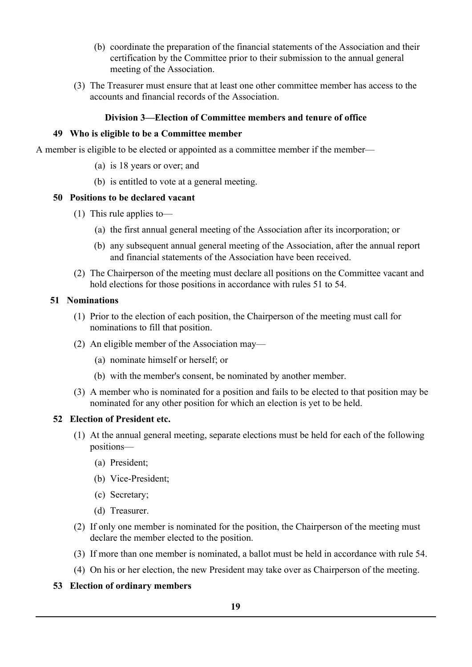- (b) coordinate the preparation of the financial statements of the Association and their certification by the Committee prior to their submission to the annual general meeting of the Association.
- (3) The Treasurer must ensure that at least one other committee member has access to the accounts and financial records of the Association.

# **Division 3—Election of Committee members and tenure of office**

#### **49 Who is eligible to be a Committee member**

A member is eligible to be elected or appointed as a committee member if the member—

- (a) is 18 years or over; and
- (b) is entitled to vote at a general meeting.

#### **50 Positions to be declared vacant**

- (1) This rule applies to—
	- (a) the first annual general meeting of the Association after its incorporation; or
	- (b) any subsequent annual general meeting of the Association, after the annual report and financial statements of the Association have been received.
- (2) The Chairperson of the meeting must declare all positions on the Committee vacant and hold elections for those positions in accordance with rules 51 to 54.

# <span id="page-18-0"></span> **51 Nominations**

- (1) Prior to the election of each position, the Chairperson of the meeting must call for nominations to fill that position.
- (2) An eligible member of the Association may—
	- (a) nominate himself or herself; or
	- (b) with the member's consent, be nominated by another member.
- (3) A member who is nominated for a position and fails to be elected to that position may be nominated for any other position for which an election is yet to be held.

# **52 Election of President etc.**

- (1) At the annual general meeting, separate elections must be held for each of the following positions—
	- (a) President;
	- (b) Vice-President;
	- (c) Secretary;
	- (d) Treasurer.
- (2) If only one member is nominated for the position, the Chairperson of the meeting must declare the member elected to the position.
- (3) If more than one member is nominated, a ballot must be held in accordance with rule 54.
- (4) On his or her election, the new President may take over as Chairperson of the meeting.

#### **53 Election of ordinary members**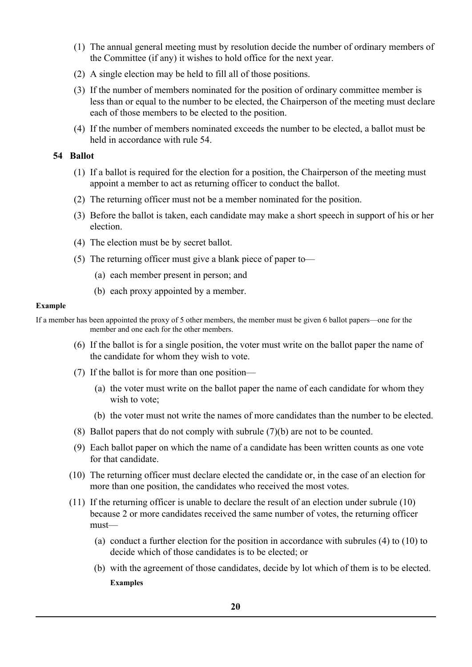- (1) The annual general meeting must by resolution decide the number of ordinary members of the Committee (if any) it wishes to hold office for the next year.
- (2) A single election may be held to fill all of those positions.
- (3) If the number of members nominated for the position of ordinary committee member is less than or equal to the number to be elected, the Chairperson of the meeting must declare each of those members to be elected to the position.
- (4) If the number of members nominated exceeds the number to be elected, a ballot must be held in accordance with rule 54.

#### **54 Ballot**

- (1) If a ballot is required for the election for a position, the Chairperson of the meeting must appoint a member to act as returning officer to conduct the ballot.
- (2) The returning officer must not be a member nominated for the position.
- (3) Before the ballot is taken, each candidate may make a short speech in support of his or her election.
- (4) The election must be by secret ballot.
- (5) The returning officer must give a blank piece of paper to—
	- (a) each member present in person; and
	- (b) each proxy appointed by a member.

#### **Example**

If a member has been appointed the proxy of 5 other members, the member must be given 6 ballot papers—one for the member and one each for the other members.

- (6) If the ballot is for a single position, the voter must write on the ballot paper the name of the candidate for whom they wish to vote.
- (7) If the ballot is for more than one position—
	- (a) the voter must write on the ballot paper the name of each candidate for whom they wish to vote;
	- (b) the voter must not write the names of more candidates than the number to be elected.
- (8) Ballot papers that do not comply with subrule (7)(b) are not to be counted.
- (9) Each ballot paper on which the name of a candidate has been written counts as one vote for that candidate.
- (10) The returning officer must declare elected the candidate or, in the case of an election for more than one position, the candidates who received the most votes.
- (11) If the returning officer is unable to declare the result of an election under subrule (10) because 2 or more candidates received the same number of votes, the returning officer must—
	- (a) conduct a further election for the position in accordance with subrules (4) to (10) to decide which of those candidates is to be elected; or
	- (b) with the agreement of those candidates, decide by lot which of them is to be elected. **Examples**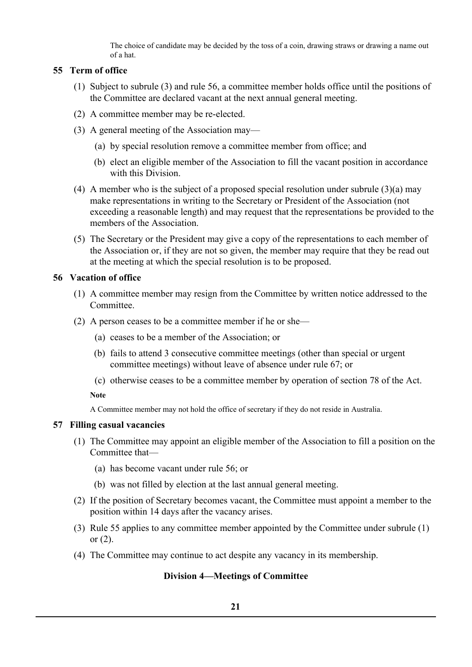The choice of candidate may be decided by the toss of a coin, drawing straws or drawing a name out of a hat.

# **55 Term of office**

- (1) Subject to subrule (3) and rule 56, a committee member holds office until the positions of the Committee are declared vacant at the next annual general meeting.
- (2) A committee member may be re-elected.
- (3) A general meeting of the Association may—
	- (a) by special resolution remove a committee member from office; and
	- (b) elect an eligible member of the Association to fill the vacant position in accordance with this Division.
- (4) A member who is the subject of a proposed special resolution under subrule (3)(a) may make representations in writing to the Secretary or President of the Association (not exceeding a reasonable length) and may request that the representations be provided to the members of the Association.
- (5) The Secretary or the President may give a copy of the representations to each member of the Association or, if they are not so given, the member may require that they be read out at the meeting at which the special resolution is to be proposed.

# **56 Vacation of office**

- (1) A committee member may resign from the Committee by written notice addressed to the Committee.
- (2) A person ceases to be a committee member if he or she—
	- (a) ceases to be a member of the Association; or
	- (b) fails to attend 3 consecutive committee meetings (other than special or urgent committee meetings) without leave of absence under rule 67; or
	- (c) otherwise ceases to be a committee member by operation of section 78 of the Act.

**Note**

A Committee member may not hold the office of secretary if they do not reside in Australia.

# **57 Filling casual vacancies**

- (1) The Committee may appoint an eligible member of the Association to fill a position on the Committee that—
	- (a) has become vacant under rule 56; or
	- (b) was not filled by election at the last annual general meeting.
- (2) If the position of Secretary becomes vacant, the Committee must appoint a member to the position within 14 days after the vacancy arises.
- (3) Rule 55 applies to any committee member appointed by the Committee under subrule (1) or  $(2)$ .
- (4) The Committee may continue to act despite any vacancy in its membership.

# **Division 4—Meetings of Committee**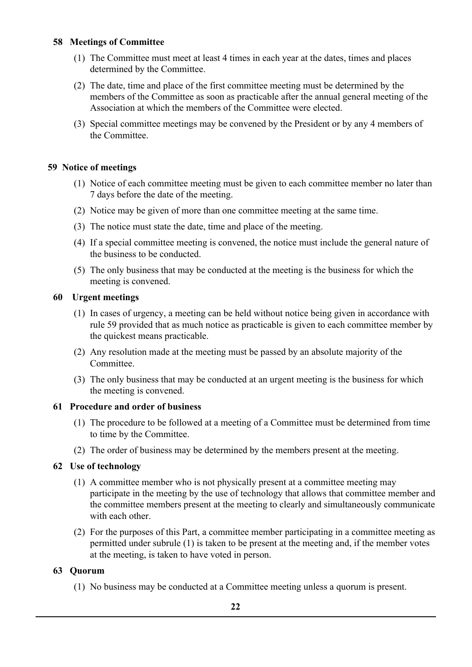# **58 Meetings of Committee**

- (1) The Committee must meet at least 4 times in each year at the dates, times and places determined by the Committee.
- (2) The date, time and place of the first committee meeting must be determined by the members of the Committee as soon as practicable after the annual general meeting of the Association at which the members of the Committee were elected.
- (3) Special committee meetings may be convened by the President or by any 4 members of the Committee.

# <span id="page-21-0"></span> **59 Notice of meetings**

- (1) Notice of each committee meeting must be given to each committee member no later than 7 days before the date of the meeting.
- (2) Notice may be given of more than one committee meeting at the same time.
- (3) The notice must state the date, time and place of the meeting.
- (4) If a special committee meeting is convened, the notice must include the general nature of the business to be conducted.
- (5) The only business that may be conducted at the meeting is the business for which the meeting is convened.

# <span id="page-21-1"></span> **60 Urgent meetings**

- (1) In cases of urgency, a meeting can be held without notice being given in accordance with rule 59 provided that as much notice as practicable is given to each committee member by the quickest means practicable.
- (2) Any resolution made at the meeting must be passed by an absolute majority of the Committee.
- (3) The only business that may be conducted at an urgent meeting is the business for which the meeting is convened.

#### **61 Procedure and order of business**

- (1) The procedure to be followed at a meeting of a Committee must be determined from time to time by the Committee.
- (2) The order of business may be determined by the members present at the meeting.

# **62 Use of technology**

- (1) A committee member who is not physically present at a committee meeting may participate in the meeting by the use of technology that allows that committee member and the committee members present at the meeting to clearly and simultaneously communicate with each other.
- (2) For the purposes of this Part, a committee member participating in a committee meeting as permitted under subrule (1) is taken to be present at the meeting and, if the member votes at the meeting, is taken to have voted in person.

#### **63 Quorum**

(1) No business may be conducted at a Committee meeting unless a quorum is present.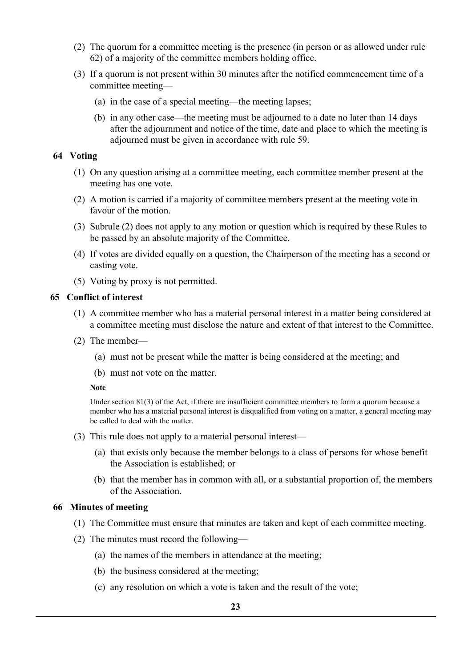- (2) The quorum for a committee meeting is the presence (in person or as allowed under rule 62) of a majority of the committee members holding office.
- (3) If a quorum is not present within 30 minutes after the notified commencement time of a committee meeting—
	- (a) in the case of a special meeting—the meeting lapses;
	- (b) in any other case—the meeting must be adjourned to a date no later than 14 days after the adjournment and notice of the time, date and place to which the meeting is adjourned must be given in accordance with rule 59.

### **64 Voting**

- (1) On any question arising at a committee meeting, each committee member present at the meeting has one vote.
- (2) A motion is carried if a majority of committee members present at the meeting vote in favour of the motion.
- (3) Subrule (2) does not apply to any motion or question which is required by these Rules to be passed by an absolute majority of the Committee.
- (4) If votes are divided equally on a question, the Chairperson of the meeting has a second or casting vote.
- (5) Voting by proxy is not permitted.

# <span id="page-22-0"></span> **65 Conflict of interest**

- (1) A committee member who has a material personal interest in a matter being considered at a committee meeting must disclose the nature and extent of that interest to the Committee.
- (2) The member—
	- (a) must not be present while the matter is being considered at the meeting; and
	- (b) must not vote on the matter.

#### **Note**

Under section 81(3) of the Act, if there are insufficient committee members to form a quorum because a member who has a material personal interest is disqualified from voting on a matter, a general meeting may be called to deal with the matter.

- (3) This rule does not apply to a material personal interest—
	- (a) that exists only because the member belongs to a class of persons for whose benefit the Association is established; or
	- (b) that the member has in common with all, or a substantial proportion of, the members of the Association.

#### **66 Minutes of meeting**

- (1) The Committee must ensure that minutes are taken and kept of each committee meeting.
- (2) The minutes must record the following—
	- (a) the names of the members in attendance at the meeting;
	- (b) the business considered at the meeting;
	- (c) any resolution on which a vote is taken and the result of the vote;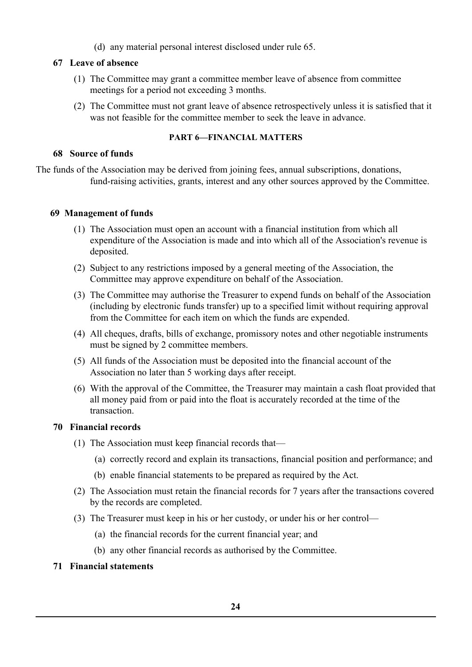(d) any material personal interest disclosed under rule 65.

# **67 Leave of absence**

- (1) The Committee may grant a committee member leave of absence from committee meetings for a period not exceeding 3 months.
- (2) The Committee must not grant leave of absence retrospectively unless it is satisfied that it was not feasible for the committee member to seek the leave in advance.

# **PART 6—FINANCIAL MATTERS**

# **68 Source of funds**

The funds of the Association may be derived from joining fees, annual subscriptions, donations, fund-raising activities, grants, interest and any other sources approved by the Committee.

# <span id="page-23-0"></span> **69 Management of funds**

- (1) The Association must open an account with a financial institution from which all expenditure of the Association is made and into which all of the Association's revenue is deposited.
- (2) Subject to any restrictions imposed by a general meeting of the Association, the Committee may approve expenditure on behalf of the Association.
- (3) The Committee may authorise the Treasurer to expend funds on behalf of the Association (including by electronic funds transfer) up to a specified limit without requiring approval from the Committee for each item on which the funds are expended.
- (4) All cheques, drafts, bills of exchange, promissory notes and other negotiable instruments must be signed by 2 committee members.
- (5) All funds of the Association must be deposited into the financial account of the Association no later than 5 working days after receipt.
- (6) With the approval of the Committee, the Treasurer may maintain a cash float provided that all money paid from or paid into the float is accurately recorded at the time of the transaction.

# **70 Financial records**

- (1) The Association must keep financial records that—
	- (a) correctly record and explain its transactions, financial position and performance; and
	- (b) enable financial statements to be prepared as required by the Act.
- (2) The Association must retain the financial records for 7 years after the transactions covered by the records are completed.
- (3) The Treasurer must keep in his or her custody, or under his or her control—
	- (a) the financial records for the current financial year; and
	- (b) any other financial records as authorised by the Committee.

# **71 Financial statements**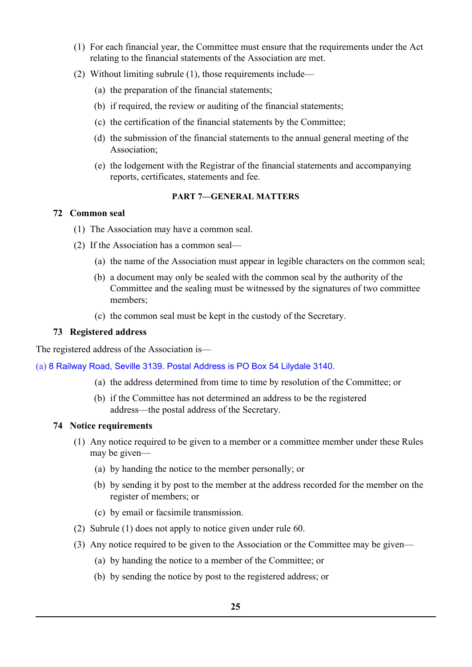- (1) For each financial year, the Committee must ensure that the requirements under the Act relating to the financial statements of the Association are met.
- (2) Without limiting subrule (1), those requirements include—
	- (a) the preparation of the financial statements;
	- (b) if required, the review or auditing of the financial statements;
	- (c) the certification of the financial statements by the Committee;
	- (d) the submission of the financial statements to the annual general meeting of the Association;
	- (e) the lodgement with the Registrar of the financial statements and accompanying reports, certificates, statements and fee.

#### **PART 7—GENERAL MATTERS**

#### **72 Common seal**

- (1) The Association may have a common seal.
- (2) If the Association has a common seal—
	- (a) the name of the Association must appear in legible characters on the common seal;
	- (b) a document may only be sealed with the common seal by the authority of the Committee and the sealing must be witnessed by the signatures of two committee members;
	- (c) the common seal must be kept in the custody of the Secretary.

#### **73 Registered address**

The registered address of the Association is—

(a) 8 Railway Road, Seville 3139. Postal Address is PO Box 54 Lilydale 3140.

- (a) the address determined from time to time by resolution of the Committee; or
- (b) if the Committee has not determined an address to be the registered address—the postal address of the Secretary.

#### **74 Notice requirements**

- (1) Any notice required to be given to a member or a committee member under these Rules may be given—
	- (a) by handing the notice to the member personally; or
	- (b) by sending it by post to the member at the address recorded for the member on the register of members; or
	- (c) by email or facsimile transmission.
- (2) Subrule (1) does not apply to notice given under rule 60.
- (3) Any notice required to be given to the Association or the Committee may be given—
	- (a) by handing the notice to a member of the Committee; or
	- (b) by sending the notice by post to the registered address; or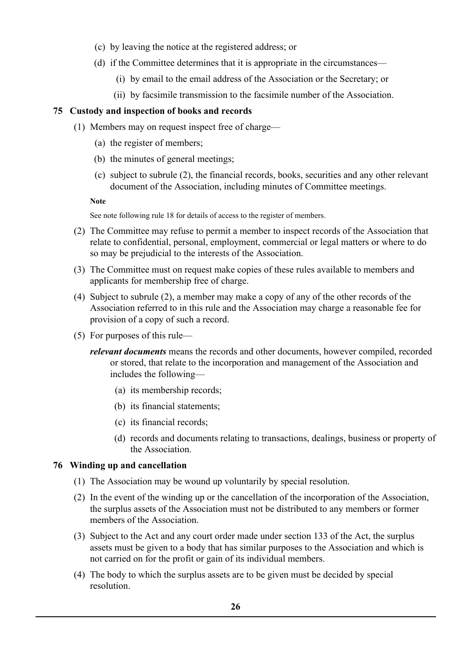- (c) by leaving the notice at the registered address; or
- (d) if the Committee determines that it is appropriate in the circumstances—
	- (i) by email to the email address of the Association or the Secretary; or
	- (ii) by facsimile transmission to the facsimile number of the Association.

# **75 Custody and inspection of books and records**

- (1) Members may on request inspect free of charge—
	- (a) the register of members;
	- (b) the minutes of general meetings;
	- (c) subject to subrule (2), the financial records, books, securities and any other relevant document of the Association, including minutes of Committee meetings.

**Note**

See note following rule 18 for details of access to the register of members.

- (2) The Committee may refuse to permit a member to inspect records of the Association that relate to confidential, personal, employment, commercial or legal matters or where to do so may be prejudicial to the interests of the Association.
- (3) The Committee must on request make copies of these rules available to members and applicants for membership free of charge.
- (4) Subject to subrule (2), a member may make a copy of any of the other records of the Association referred to in this rule and the Association may charge a reasonable fee for provision of a copy of such a record.
- (5) For purposes of this rule
	- *relevant documents* means the records and other documents, however compiled, recorded or stored, that relate to the incorporation and management of the Association and includes the following—
		- (a) its membership records;
		- (b) its financial statements;
		- (c) its financial records;
		- (d) records and documents relating to transactions, dealings, business or property of the Association.

# **76 Winding up and cancellation**

- (1) The Association may be wound up voluntarily by special resolution.
- (2) In the event of the winding up or the cancellation of the incorporation of the Association, the surplus assets of the Association must not be distributed to any members or former members of the Association.
- (3) Subject to the Act and any court order made under section 133 of the Act, the surplus assets must be given to a body that has similar purposes to the Association and which is not carried on for the profit or gain of its individual members.
- (4) The body to which the surplus assets are to be given must be decided by special resolution.